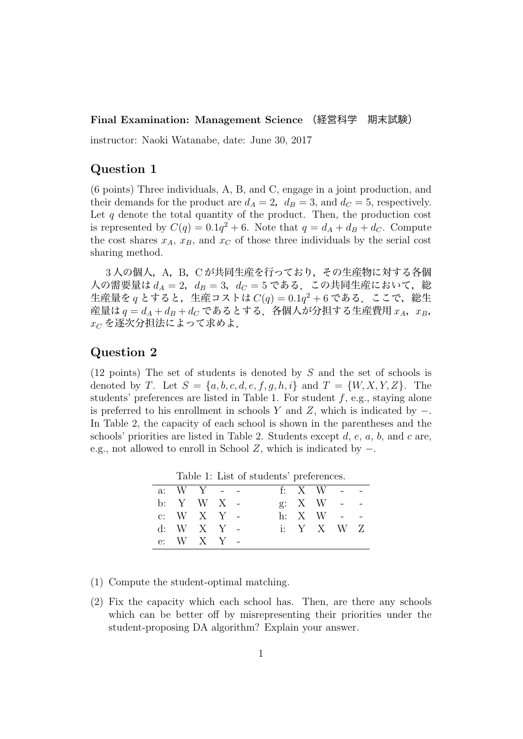#### **Final Examination: Management Science** (経営科学 期末試験)

instructor: Naoki Watanabe, date: June 30, 2017

### **Question 1**

(6 points) Three individuals, A, B, and C, engage in a joint production, and their demands for the product are  $d_A = 2$ ,  $d_B = 3$ , and  $d_C = 5$ , respectively. Let  $q$  denote the total quantity of the product. Then, the production cost is represented by  $C(q) = 0.1q^2 + 6$ . Note that  $q = d_A + d_B + d_C$ . Compute the cost shares  $x_A$ ,  $x_B$ , and  $x_C$  of those three individuals by the serial cost sharing method.

3人の個人, A, B, Cが共同生産を行っており, その生産物に対する各個 人の需要量は  $d_A = 2$ ,  $d_B = 3$ ,  $d_C = 5$  である. この共同生産において, 総 生産量を $q \geq \sigma$ ると,生産コストは $C(q) = 0.1q^2 + 6$ である. ここで,総生 産量は $q = d_A + d_B + d_C$ であるとする. 各個人が分担する生産費用 $x_A$ ,  $x_B$ , *x<sup>C</sup>* を逐次分担法によって求めよ.

## **Question 2**

(12 points) The set of students is denoted by *S* and the set of schools is denoted by *T*. Let  $S = \{a, b, c, d, e, f, g, h, i\}$  and  $T = \{W, X, Y, Z\}$ . The students' preferences are listed in Table 1. For student *f*, e.g., staying alone is preferred to his enrollment in schools *Y* and *Z*, which is indicated by *−*. In Table 2, the capacity of each school is shown in the parentheses and the schools' priorities are listed in Table 2. Students except *d*, *e*, *a*, *b*, and *c* are, e.g., not allowed to enroll in School *Z*, which is indicated by *−*.

Table 1: List of students' preferences.

|  | a: $W Y -$       |  |  | f: X W - -        |  |
|--|------------------|--|--|-------------------|--|
|  | b: Y W X -       |  |  | $g: X \ W - -$    |  |
|  | c: W $X$ $Y$ -   |  |  | h: $X$ W - -      |  |
|  | d: W X Y -       |  |  | i: $Y \times W Z$ |  |
|  | e: $W$ $X$ $Y$ - |  |  |                   |  |

- (1) Compute the student-optimal matching.
- (2) Fix the capacity which each school has. Then, are there any schools which can be better off by misrepresenting their priorities under the student-proposing DA algorithm? Explain your answer.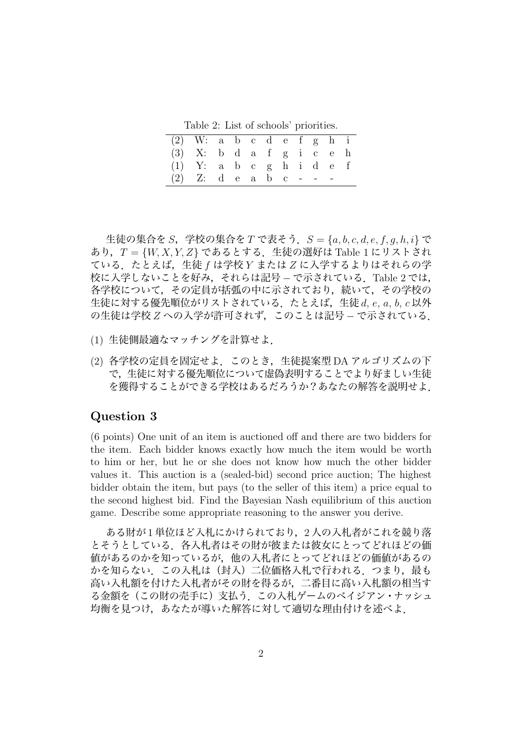Table 2: List of schools' priorities.

| $(2)$ W: a b c d e f g h i |                            |  |  |  |  |  |
|----------------------------|----------------------------|--|--|--|--|--|
|                            | $(3)$ X: b d a f g i c e h |  |  |  |  |  |
|                            | $(1)$ Y: a b c g h i d e f |  |  |  |  |  |
| (2) Z: d e a b c - - -     |                            |  |  |  |  |  |

生徒の集合を *S*,学校の集合を *T* で表そう.*S* = *{a, b, c, d, e, f, g, h, i}* で あり,*T* = *{W, X, Y, Z}* であるとする.生徒の選好は Table 1 にリストされ ている.たとえば,生徒 *f* は学校 *Y* または *Z* に入学するよりはそれらの学 校に入学しないことを好み,それらは記号 *−* で示されている.Table 2 では, 各学校について,その定員が括弧の中に示されており,続いて,その学校の 生徒に対する優先順位がリストされている.たとえば,生徒 *d*, *e*, *a*, *b*, *c* 以外 の生徒は学校 *Z* への入学が許可されず,このことは記号 *−* で示されている.

- (1) 生徒側最適なマッチングを計算せよ.
- (2) 各学校の定員を固定せよ.このとき,生徒提案型 DA アルゴリズムの下 で,生徒に対する優先順位について虚偽表明することでより好ましい生徒 を獲得することができる学校はあるだろうか?あなたの解答を説明せよ.

### **Question 3**

(6 points) One unit of an item is auctioned off and there are two bidders for the item. Each bidder knows exactly how much the item would be worth to him or her, but he or she does not know how much the other bidder values it. This auction is a (sealed-bid) second price auction; The highest bidder obtain the item, but pays (to the seller of this item) a price equal to the second highest bid. Find the Bayesian Nash equilibrium of this auction game. Describe some appropriate reasoning to the answer you derive.

ある財が 1 単位ほど入札にかけられており,2 人の入札者がこれを競り落 とそうとしている.各入札者はその財が彼または彼女にとってどれほどの価 値があるのかを知っているが,他の入札者にとってどれほどの価値があるの かを知らない. この入札は(封入)二位価格入札で行われる. つまり,最も 高い入札額を付けた入札者がその財を得るが,二番目に高い入札額の相当す る金額を(この財の売手に)支払う.この入札ゲームのベイジアン・ナッシュ 均衡を見つけ,あなたが導いた解答に対して適切な理由付けを述べよ.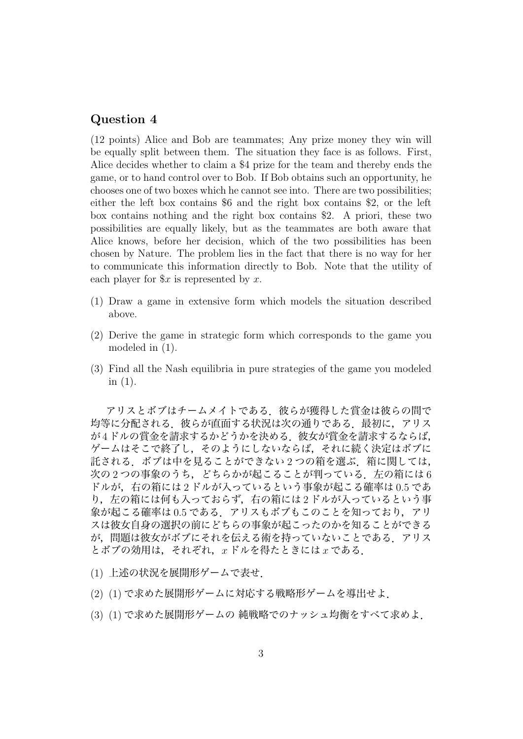### **Question 4**

(12 points) Alice and Bob are teammates; Any prize money they win will be equally split between them. The situation they face is as follows. First, Alice decides whether to claim a \$4 prize for the team and thereby ends the game, or to hand control over to Bob. If Bob obtains such an opportunity, he chooses one of two boxes which he cannot see into. There are two possibilities; either the left box contains \$6 and the right box contains \$2, or the left box contains nothing and the right box contains \$2. A priori, these two possibilities are equally likely, but as the teammates are both aware that Alice knows, before her decision, which of the two possibilities has been chosen by Nature. The problem lies in the fact that there is no way for her to communicate this information directly to Bob. Note that the utility of each player for \$*x* is represented by *x*.

- (1) Draw a game in extensive form which models the situation described above.
- (2) Derive the game in strategic form which corresponds to the game you modeled in (1).
- (3) Find all the Nash equilibria in pure strategies of the game you modeled in  $(1)$ .

アリスとボブはチームメイトである.彼らが獲得した賞金は彼らの間で 均等に分配される.彼らが直面する状況は次の通りである.最初に,アリス が4ドルの賞金を請求するかどうかを決める. 彼女が賞金を請求するならば, ゲームはそこで終了し,そのようにしないならば,それに続く決定はボブに 託される. ボブは中を見ることができない 2 つの箱を選ぶ. 箱に関しては, 次の2つの事象のうち,どちらかが起こることが判っている.左ての箱には6 ドルが,右の箱には 2 ドルが入っているという事象が起こる確率は 0.5 であ り、左の箱には何も入っておらず、右の箱には2ドルが入っているという事 象が起こる確率は 0.5 である.アリスもボブもこのことを知っており,アリ スは彼女自身の選択の前にどちらの事象が起こったのかを知ることができる が,問題は彼女がボブにそれを伝える術を持っていないことである.アリス とボブの効用は,それぞれ,*x* ドルを得たときには *x* である.

- (1) 上述の状況を展開形ゲームで表せ.
- (2) (1) で求めた展開形ゲームに対応する戦略形ゲームを導出せよ.
- (3) (1) で求めた展開形ゲームの 純戦略でのナッシュ均衡をすべて求めよ.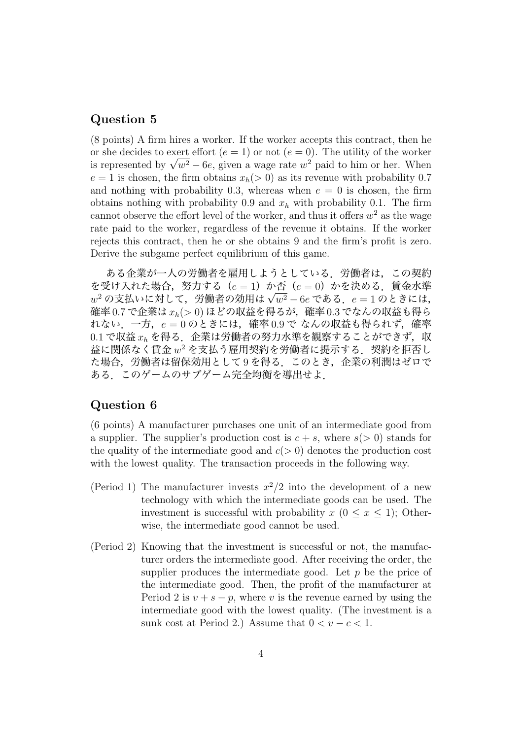## **Question 5**

(8 points) A firm hires a worker. If the worker accepts this contract, then he or she decides to exert effort  $(e = 1)$  or not  $(e = 0)$ . The utility of the worker or sne declaes to exert enort ( $e = 1$ ) or not ( $e = 0$ ). The utility of the worker<br>is represented by  $\sqrt{w^2} - 6e$ , given a wage rate  $w^2$  paid to him or her. When  $e = 1$  is chosen, the firm obtains  $x_h(>0)$  as its revenue with probability 0.7 and nothing with probability 0.3, whereas when  $e = 0$  is chosen, the firm obtains nothing with probability 0.9 and  $x_h$  with probability 0.1. The firm cannot observe the effort level of the worker, and thus it offers  $w^2$  as the wage rate paid to the worker, regardless of the revenue it obtains. If the worker rejects this contract, then he or she obtains 9 and the firm's profit is zero. Derive the subgame perfect equilibrium of this game.

ある企業が一人の労働者を雇用しようとしている.労働者は,この契約 を受け入れた場合,努力する(*e* = 1)か否(*e* = 0)かを決める.賃金水準 *w* <sup>2</sup> の支払いに対して,労働者の効用は *<sup>√</sup> w*<sup>2</sup> *−* 6*e* である.*e* = 1 のときには, 確率 0*.*7 で企業は *xh*(*>* 0) ほどの収益を得るが,確率 0*.*3 でなんの収益も得ら れない.一方,*e* = 0 のときには,確率 0*.*9 で なんの収益も得られず,確率 0.1 で収益  $x_h$  を得る. 企業は労働者の努力水準を観察することができず, 収  $\Delta$ に関係なく賃金 $w^2$ を支払う雇用契約を労働者に提示する.契約を拒否し た場合,労働者は留保効用として9を得る. このとき,企業の利潤はゼロで ある.このゲームのサブゲーム完全均衡を導出せよ.

# **Question 6**

(6 points) A manufacturer purchases one unit of an intermediate good from a supplier. The supplier's production cost is  $c + s$ , where  $s(> 0)$  stands for the quality of the intermediate good and  $c(>0)$  denotes the production cost with the lowest quality. The transaction proceeds in the following way.

- (Period 1) The manufacturer invests  $x^2/2$  into the development of a new technology with which the intermediate goods can be used. The investment is successful with probability  $x$  ( $0 \le x \le 1$ ); Otherwise, the intermediate good cannot be used.
- (Period 2) Knowing that the investment is successful or not, the manufacturer orders the intermediate good. After receiving the order, the supplier produces the intermediate good. Let *p* be the price of the intermediate good. Then, the profit of the manufacturer at Period 2 is  $v + s - p$ , where v is the revenue earned by using the intermediate good with the lowest quality. (The investment is a sunk cost at Period 2.) Assume that  $0 < v - c < 1$ .